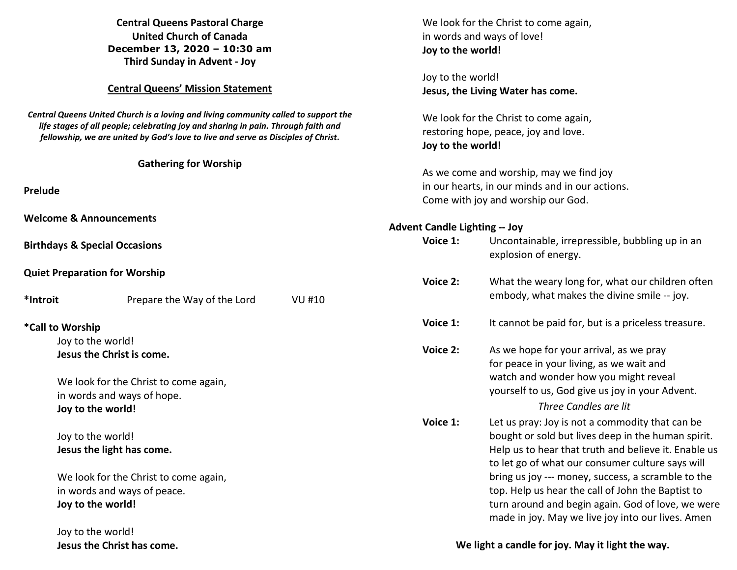| <b>Central Queens Pastoral Charge</b><br><b>United Church of Canada</b><br>December 13, 2020 - 10:30 am<br>Third Sunday in Advent - Joy                                                                                                                       |                                          |                                                  | We look for the Christ to come again,<br>in words and ways of love!<br>Joy to the world! |                                                                                                       |  |  |
|---------------------------------------------------------------------------------------------------------------------------------------------------------------------------------------------------------------------------------------------------------------|------------------------------------------|--------------------------------------------------|------------------------------------------------------------------------------------------|-------------------------------------------------------------------------------------------------------|--|--|
|                                                                                                                                                                                                                                                               |                                          |                                                  | Joy to the world!                                                                        |                                                                                                       |  |  |
|                                                                                                                                                                                                                                                               | <b>Central Queens' Mission Statement</b> |                                                  | Jesus, the Living Water has come.                                                        |                                                                                                       |  |  |
| Central Queens United Church is a loving and living community called to support the<br>life stages of all people; celebrating joy and sharing in pain. Through faith and<br>fellowship, we are united by God's love to live and serve as Disciples of Christ. |                                          |                                                  |                                                                                          | We look for the Christ to come again,<br>restoring hope, peace, joy and love.<br>Joy to the world!    |  |  |
|                                                                                                                                                                                                                                                               | <b>Gathering for Worship</b>             |                                                  |                                                                                          |                                                                                                       |  |  |
|                                                                                                                                                                                                                                                               |                                          |                                                  | As we come and worship, may we find joy                                                  |                                                                                                       |  |  |
| Prelude                                                                                                                                                                                                                                                       |                                          |                                                  |                                                                                          | in our hearts, in our minds and in our actions.                                                       |  |  |
|                                                                                                                                                                                                                                                               |                                          |                                                  | Come with joy and worship our God.                                                       |                                                                                                       |  |  |
| <b>Welcome &amp; Announcements</b>                                                                                                                                                                                                                            |                                          |                                                  |                                                                                          |                                                                                                       |  |  |
|                                                                                                                                                                                                                                                               |                                          |                                                  | <b>Advent Candle Lighting -- Joy</b>                                                     |                                                                                                       |  |  |
|                                                                                                                                                                                                                                                               | <b>Birthdays &amp; Special Occasions</b> |                                                  | Voice 1:                                                                                 | Uncontainable, irrepressible, bubbling up in an<br>explosion of energy.                               |  |  |
|                                                                                                                                                                                                                                                               | <b>Quiet Preparation for Worship</b>     |                                                  |                                                                                          |                                                                                                       |  |  |
| *Introit                                                                                                                                                                                                                                                      | Prepare the Way of the Lord              | <b>VU #10</b>                                    | Voice 2:                                                                                 | What the weary long for, what our children often<br>embody, what makes the divine smile -- joy.       |  |  |
| *Call to Worship                                                                                                                                                                                                                                              |                                          |                                                  | Voice 1:                                                                                 | It cannot be paid for, but is a priceless treasure.                                                   |  |  |
|                                                                                                                                                                                                                                                               | Joy to the world!                        |                                                  |                                                                                          |                                                                                                       |  |  |
| Jesus the Christ is come.                                                                                                                                                                                                                                     |                                          |                                                  | Voice 2:                                                                                 | As we hope for your arrival, as we pray<br>for peace in your living, as we wait and                   |  |  |
| We look for the Christ to come again,                                                                                                                                                                                                                         |                                          |                                                  |                                                                                          | watch and wonder how you might reveal                                                                 |  |  |
| in words and ways of hope.                                                                                                                                                                                                                                    |                                          |                                                  |                                                                                          | yourself to us, God give us joy in your Advent.                                                       |  |  |
| Joy to the world!                                                                                                                                                                                                                                             |                                          |                                                  |                                                                                          | Three Candles are lit                                                                                 |  |  |
| Joy to the world!                                                                                                                                                                                                                                             |                                          |                                                  | Voice 1:                                                                                 | Let us pray: Joy is not a commodity that can be<br>bought or sold but lives deep in the human spirit. |  |  |
| Jesus the light has come.                                                                                                                                                                                                                                     |                                          |                                                  |                                                                                          | Help us to hear that truth and believe it. Enable us                                                  |  |  |
|                                                                                                                                                                                                                                                               |                                          |                                                  |                                                                                          | to let go of what our consumer culture says will                                                      |  |  |
| We look for the Christ to come again,                                                                                                                                                                                                                         |                                          |                                                  |                                                                                          | bring us joy --- money, success, a scramble to the                                                    |  |  |
| in words and ways of peace.                                                                                                                                                                                                                                   |                                          |                                                  |                                                                                          | top. Help us hear the call of John the Baptist to                                                     |  |  |
| Joy to the world!                                                                                                                                                                                                                                             |                                          |                                                  |                                                                                          | turn around and begin again. God of love, we were                                                     |  |  |
|                                                                                                                                                                                                                                                               |                                          |                                                  |                                                                                          | made in joy. May we live joy into our lives. Amen                                                     |  |  |
|                                                                                                                                                                                                                                                               | Joy to the world!                        |                                                  |                                                                                          |                                                                                                       |  |  |
| Jesus the Christ has come.                                                                                                                                                                                                                                    |                                          | We light a candle for joy. May it light the way. |                                                                                          |                                                                                                       |  |  |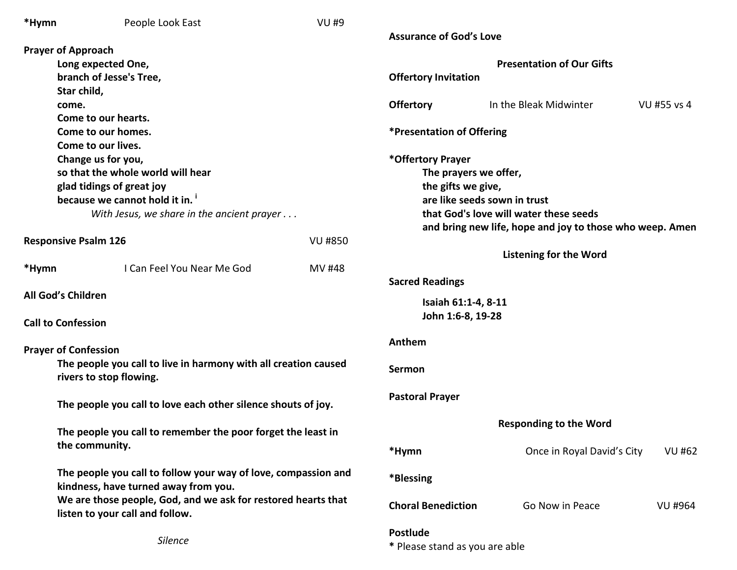| *Hymn                                                                                                 | People Look East                                               | <b>VU#9</b>                 |                                        |                                                          |                |  |
|-------------------------------------------------------------------------------------------------------|----------------------------------------------------------------|-----------------------------|----------------------------------------|----------------------------------------------------------|----------------|--|
|                                                                                                       |                                                                |                             | <b>Assurance of God's Love</b>         |                                                          |                |  |
|                                                                                                       | <b>Prayer of Approach</b>                                      |                             |                                        |                                                          |                |  |
| Long expected One,                                                                                    |                                                                |                             | <b>Presentation of Our Gifts</b>       |                                                          |                |  |
|                                                                                                       | branch of Jesse's Tree,                                        | <b>Offertory Invitation</b> |                                        |                                                          |                |  |
|                                                                                                       | Star child,                                                    |                             |                                        |                                                          |                |  |
|                                                                                                       | come.                                                          |                             | <b>Offertory</b>                       | In the Bleak Midwinter                                   | VU #55 vs 4    |  |
|                                                                                                       | Come to our hearts.                                            |                             |                                        |                                                          |                |  |
|                                                                                                       | Come to our homes.                                             |                             | *Presentation of Offering              |                                                          |                |  |
|                                                                                                       | Come to our lives.                                             |                             |                                        |                                                          |                |  |
|                                                                                                       | Change us for you,                                             |                             | *Offertory Prayer                      |                                                          |                |  |
|                                                                                                       | so that the whole world will hear                              |                             | The prayers we offer,                  |                                                          |                |  |
|                                                                                                       | glad tidings of great joy                                      |                             | the gifts we give,                     |                                                          |                |  |
| because we cannot hold it in.                                                                         |                                                                |                             | are like seeds sown in trust           |                                                          |                |  |
|                                                                                                       | With Jesus, we share in the ancient prayer $\dots$             |                             | that God's love will water these seeds |                                                          |                |  |
|                                                                                                       |                                                                |                             |                                        | and bring new life, hope and joy to those who weep. Amen |                |  |
|                                                                                                       | <b>Responsive Psalm 126</b>                                    | <b>VU #850</b>              |                                        |                                                          |                |  |
|                                                                                                       |                                                                |                             |                                        | <b>Listening for the Word</b>                            |                |  |
| *Hymn                                                                                                 | I Can Feel You Near Me God                                     | MV #48                      |                                        |                                                          |                |  |
|                                                                                                       |                                                                |                             | <b>Sacred Readings</b>                 |                                                          |                |  |
|                                                                                                       | All God's Children                                             |                             | Isaiah 61:1-4, 8-11                    |                                                          |                |  |
|                                                                                                       |                                                                |                             | John 1:6-8, 19-28                      |                                                          |                |  |
|                                                                                                       | <b>Call to Confession</b>                                      |                             |                                        |                                                          |                |  |
|                                                                                                       |                                                                |                             | Anthem                                 |                                                          |                |  |
| <b>Prayer of Confession</b>                                                                           |                                                                |                             |                                        |                                                          |                |  |
| The people you call to live in harmony with all creation caused                                       |                                                                |                             | Sermon                                 |                                                          |                |  |
|                                                                                                       | rivers to stop flowing.                                        |                             |                                        |                                                          |                |  |
| The people you call to love each other silence shouts of joy.                                         |                                                                |                             | <b>Pastoral Prayer</b>                 |                                                          |                |  |
|                                                                                                       |                                                                |                             |                                        |                                                          |                |  |
|                                                                                                       |                                                                |                             | <b>Responding to the Word</b>          |                                                          |                |  |
| The people you call to remember the poor forget the least in<br>the community.                        |                                                                |                             |                                        |                                                          |                |  |
|                                                                                                       |                                                                |                             | *Hymn                                  | Once in Royal David's City                               | <b>VU #62</b>  |  |
|                                                                                                       | The people you call to follow your way of love, compassion and |                             |                                        |                                                          |                |  |
| kindness, have turned away from you.<br>We are those people, God, and we ask for restored hearts that |                                                                |                             | *Blessing                              |                                                          |                |  |
|                                                                                                       |                                                                |                             |                                        |                                                          |                |  |
| listen to your call and follow.                                                                       |                                                                |                             | <b>Choral Benediction</b>              | Go Now in Peace                                          | <b>VU #964</b> |  |
|                                                                                                       |                                                                |                             |                                        |                                                          |                |  |
| <b>Silence</b>                                                                                        |                                                                | <b>Postlude</b>             |                                        |                                                          |                |  |
|                                                                                                       |                                                                |                             | * Please stand as you are able         |                                                          |                |  |